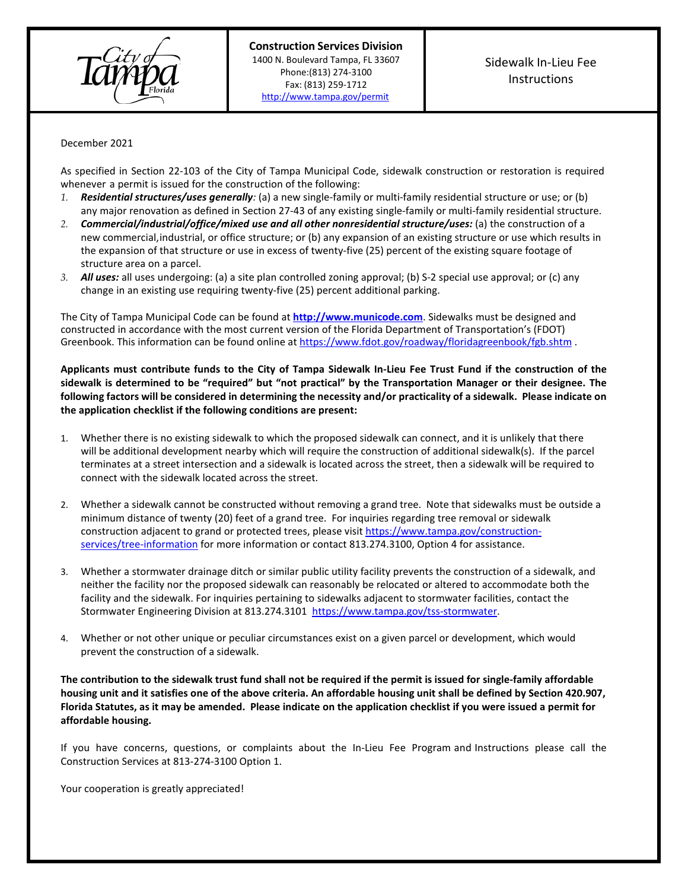

December 2021

As specified in Section 22-103 of the City of Tampa Municipal Code, sidewalk construction or restoration is required whenever a permit is issued for the construction of the following:

- *1. Residential structures/uses generally:* (a) a new single-family or multi-family residential structure or use; or (b) any major renovation as defined in Section 27-43 of any existing single-family or multi-family residential structure.
- *2. Commercial/industrial/office/mixed use and all other nonresidential structure/uses:* (a) the construction of a new commercial, industrial, or office structure; or (b) any expansion of an existing structure or use which results in the expansion of that structure or use in excess of twenty-five (25) percent of the existing square footage of structure area on a parcel.
- *3. All uses:* all uses undergoing: (a) a site plan controlled zoning approval; (b) S-2 special use approval; or (c) any change in an existing use requiring twenty-five (25) percent additional parking.

The City of Tampa Municipal Code can be found at **[http://www.municode.com](http://www.municode.com/)**. Sidewalks must be designed and constructed in accordance with the most current version of the Florida Department of Transportation's (FDOT) Greenbook. This information can be found online a[t https://www.fdot.gov/roadway/floridagreenbook/fgb.shtm](https://www.fdot.gov/roadway/floridagreenbook/fgb.shtm).

**Applicants must contribute funds to the City of Tampa Sidewalk In-Lieu Fee Trust Fund if the construction of the sidewalk is determined to be "required" but "not practical" by the Transportation Manager or their designee. The following factors will be considered in determining the necessity and/or practicality of a sidewalk. Please indicate on the application checklist if the following conditions are present:**

- 1. Whether there is no existing sidewalk to which the proposed sidewalk can connect, and it is unlikely that there will be additional development nearby which will require the construction of additional sidewalk(s). If the parcel terminates at a street intersection and a sidewalk is located across the street, then a sidewalk will be required to connect with the sidewalk located across the street.
- 2. Whether a sidewalk cannot be constructed without removing a grand tree. Note that sidewalks must be outside a minimum distance of twenty (20) feet of a grand tree. For inquiries regarding tree removal or sidewalk construction adjacent to grand or protected trees, please visi[t https://www.tampa.gov/construction](https://www.tampa.gov/construction-services/tree-information)[services/tree-information](https://www.tampa.gov/construction-services/tree-information) for more information or contact 813.274.3100, Option 4 for assistance.
- 3. Whether a stormwater drainage ditch or similar public utility facility prevents the construction of a sidewalk, and neither the facility nor the proposed sidewalk can reasonably be relocated or altered to accommodate both the facility and the sidewalk. For inquiries pertaining to sidewalks adjacent to stormwater facilities, contact the Stormwater Engineering Division at 813.274.3101 [https://www.tampa.gov/tss-stormwater.](https://www.tampa.gov/tss-stormwater)
- 4. Whether or not other unique or peculiar circumstances exist on a given parcel or development, which would prevent the construction of a sidewalk.

**The contribution to the sidewalk trust fund shall not be required if the permit is issued for single-family affordable housing unit and it satisfies one of the above criteria. An affordable housing unit shall be defined by Section 420.907, Florida Statutes, as it may be amended. Please indicate on the application checklist if you were issued a permit for affordable housing.**

If you have concerns, questions, or complaints about the In-Lieu Fee Program and Instructions please call the Construction Services at 813-274-3100 Option 1.

Your cooperation is greatly appreciated!